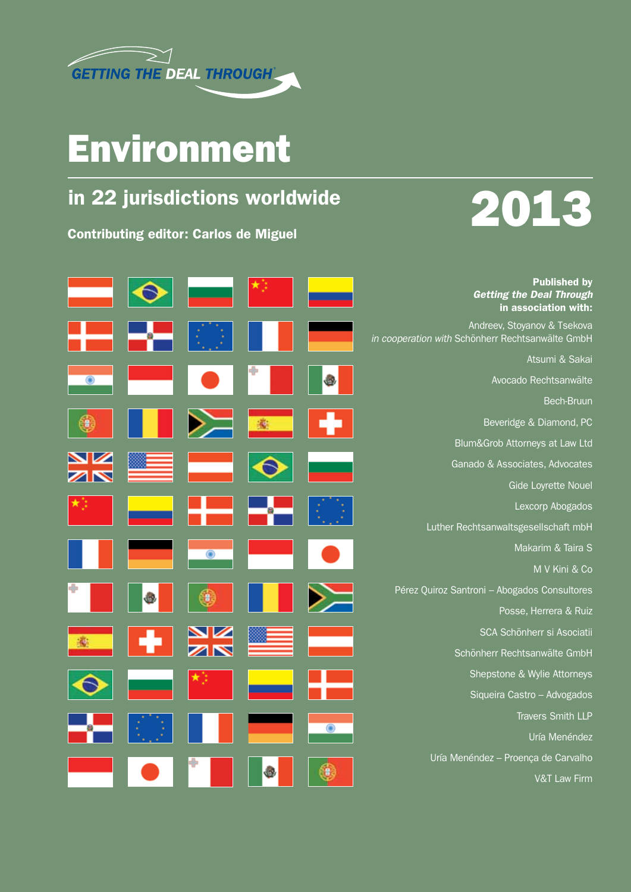

## Environment

## in 22 jurisdictions worldwide

Contributing editor: Carlos de Miguel



|    |                         |  | <b>Published by</b><br><b>Getting the Deal Through</b><br>in association with:  |
|----|-------------------------|--|---------------------------------------------------------------------------------|
|    |                         |  | Andreev, Stoyanov & Tsekova<br>in cooperation with Schönherr Rechtsanwälte GmbH |
|    |                         |  | Atsumi & Sakai                                                                  |
| ⋒  |                         |  | Avocado Rechtsanwälte                                                           |
|    |                         |  | <b>Bech-Bruun</b>                                                               |
|    |                         |  | Beveridge & Diamond, PC                                                         |
|    |                         |  | Blum&Grob Attorneys at Law Ltd                                                  |
|    |                         |  | Ganado & Associates, Advocates                                                  |
|    |                         |  | Gide Loyrette Nouel                                                             |
| ★3 |                         |  | Lexcorp Abogados                                                                |
|    |                         |  | Luther Rechtsanwaltsgesellschaft mbH                                            |
|    | <b>(@)</b>              |  | Makarim & Taira S                                                               |
|    |                         |  | M V Kini & Co                                                                   |
|    |                         |  | Pérez Quiroz Santroni - Abogados Consultores                                    |
|    |                         |  | Posse, Herrera & Ruiz                                                           |
|    | $\frac{\Delta}{\Delta}$ |  | SCA Schönherr si Asociatii                                                      |
|    |                         |  | Schönherr Rechtsanwälte GmbH                                                    |
|    |                         |  | Shepstone & Wylie Attorneys                                                     |
|    |                         |  | Siqueira Castro - Advogados                                                     |
|    |                         |  | <b>Travers Smith LLP</b>                                                        |
|    |                         |  | Uría Menéndez                                                                   |
|    |                         |  | Uría Menéndez - Proença de Carvalho                                             |
|    |                         |  | <b>V&amp;T Law Firm</b>                                                         |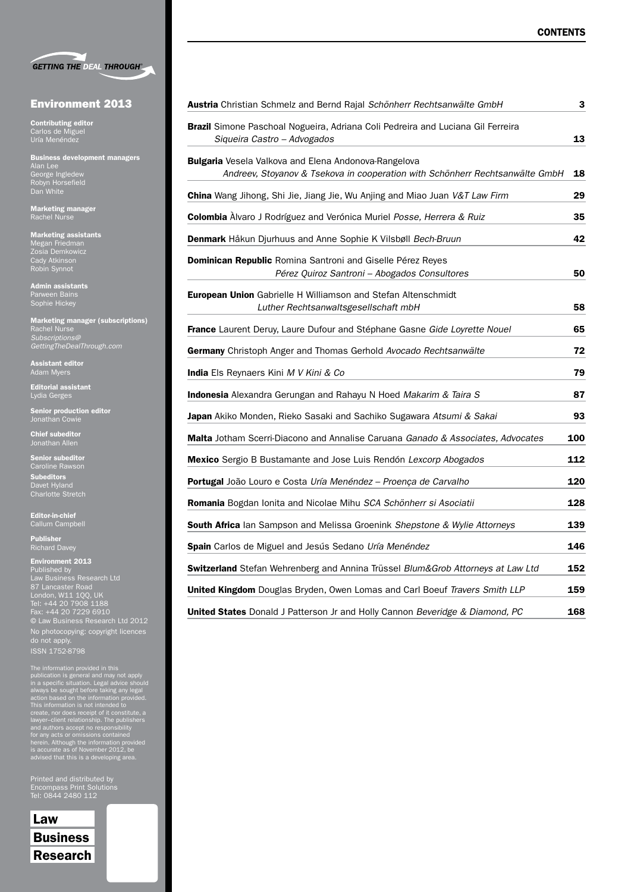|  | <b>GETTING THE DEAL THROUGH®</b> |
|--|----------------------------------|

#### Environment 2013

Contributing editor Carlos de Miguel

Business development managers Alan Lee George Ingledew Robyn Horsefield Dan White

Marketing manager Rachel Nurse

Marketing assistants Megan Friedman Zosia Demkowicz Cady Atkinson Robin Synnot

Admin assistants Parween Bains Sophie Hickey

Marketing manager (subscriptions) Rachel Nurse *Subscriptions@ GettingTheDealThrough.com*

Assistant editor Adam Myers

Editorial assistant Lydia Gerges

Senior production editor Jonathan Cowie

Chief subeditor Jonathan Allen

Senior subeditor Caroline Rawson

Subeditors Davet Hyland Charlotte Stretch

Editor-in-chief Callum Campbell

Publisher Richard Davey

Environment 2013 Published by Law Business Research Ltd 87 Lancaster Road London, W11 1QQ, UK Tel: +44 20 7908 1188 Fax: +44 20 7229 6910 © Law Business Research Ltd 2012 No photocopying: copyright licences do not apply.

The information provided in this<br>publication is general and may not apply<br>in a specific situation. Legal advice should<br>always be sought before taking any legal<br>action based on the information provided.<br>This information is

Printed and distributed by Tel: 0844 2480 112

### Law Business Research

| Austria Christian Schmelz and Bernd Rajal Schönherr Rechtsanwälte GmbH                                                               | 3   |
|--------------------------------------------------------------------------------------------------------------------------------------|-----|
| <b>Brazil</b> Simone Paschoal Nogueira, Adriana Coli Pedreira and Luciana Gil Ferreira<br>Siqueira Castro - Advogados                | 13  |
| Bulgaria Vesela Valkova and Elena Andonova-Rangelova<br>Andreev, Stoyanov & Tsekova in cooperation with Schönherr Rechtsanwälte GmbH | 18  |
| <b>China</b> Wang Jihong, Shi Jie, Jiang Jie, Wu Anjing and Miao Juan V&T Law Firm                                                   | 29  |
| Colombia Àlvaro J Rodríguez and Verónica Muriel Posse, Herrera & Ruiz                                                                | 35  |
| <b>Denmark</b> Håkun Djurhuus and Anne Sophie K Vilsbøll Bech-Bruun                                                                  | 42  |
| <b>Dominican Republic</b> Romina Santroni and Giselle Pérez Reyes<br>Pérez Quiroz Santroni - Abogados Consultores                    | 50  |
| <b>European Union</b> Gabrielle H Williamson and Stefan Altenschmidt<br>Luther Rechtsanwaltsgesellschaft mbH                         | 58  |
| France Laurent Deruy, Laure Dufour and Stéphane Gasne Gide Loyrette Nouel                                                            | 65  |
| Germany Christoph Anger and Thomas Gerhold Avocado Rechtsanwälte                                                                     | 72  |
| <b>India</b> Els Reynaers Kini M V Kini & Co                                                                                         | 79  |
| Indonesia Alexandra Gerungan and Rahayu N Hoed Makarim & Taira S                                                                     | 87  |
| Japan Akiko Monden, Rieko Sasaki and Sachiko Sugawara Atsumi & Sakai                                                                 | 93  |
| <b>Malta</b> Jotham Scerri-Diacono and Annalise Caruana Ganado & Associates, Advocates                                               | 100 |
| <b>Mexico</b> Sergio B Bustamante and Jose Luis Rendón Lexcorp Abogados                                                              | 112 |
| Portugal João Louro e Costa Uría Menéndez - Proença de Carvalho                                                                      | 120 |
| <b>Romania</b> Bogdan Ionita and Nicolae Mihu SCA Schönherr si Asociatii                                                             | 128 |
| <b>South Africa</b> lan Sampson and Melissa Groenink Shepstone & Wylie Attorneys                                                     | 139 |
| Spain Carlos de Miguel and Jesús Sedano Uría Menéndez                                                                                | 146 |
| Switzerland Stefan Wehrenberg and Annina Trüssel Blum&Grob Attorneys at Law Ltd                                                      | 152 |
| United Kingdom Douglas Bryden, Owen Lomas and Carl Boeuf Travers Smith LLP                                                           | 159 |
| <b>United States</b> Donald J Patterson Jr and Holly Cannon Beveridge & Diamond, PC                                                  | 168 |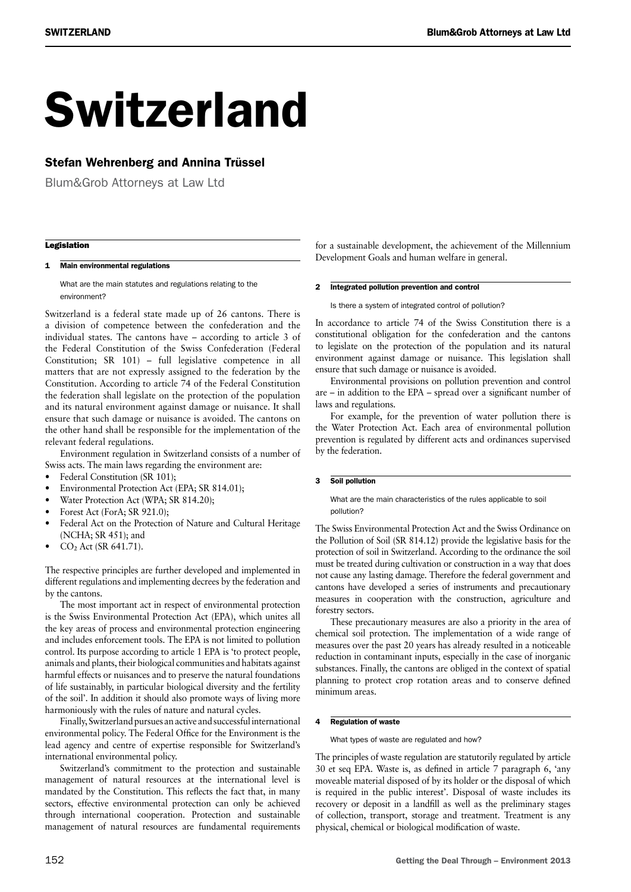# Switzerland

### Stefan Wehrenberg and Annina Trüssel

Blum&Grob Attorneys at Law Ltd

#### **Legislation**

#### 1 Main environmental regulations

What are the main statutes and regulations relating to the environment?

Switzerland is a federal state made up of 26 cantons. There is a division of competence between the confederation and the individual states. The cantons have – according to article 3 of the Federal Constitution of the Swiss Confederation (Federal Constitution; SR 101) – full legislative competence in all matters that are not expressly assigned to the federation by the Constitution. According to article 74 of the Federal Constitution the federation shall legislate on the protection of the population and its natural environment against damage or nuisance. It shall ensure that such damage or nuisance is avoided. The cantons on the other hand shall be responsible for the implementation of the relevant federal regulations.

Environment regulation in Switzerland consists of a number of Swiss acts. The main laws regarding the environment are:

- Federal Constitution (SR 101);
- Environmental Protection Act (EPA; SR 814.01);
- Water Protection Act (WPA; SR 814.20);
- Forest Act (ForA; SR 921.0);
- Federal Act on the Protection of Nature and Cultural Heritage (NCHA; SR 451); and
- CO<sub>2</sub> Act (SR 641.71).

The respective principles are further developed and implemented in different regulations and implementing decrees by the federation and by the cantons.

The most important act in respect of environmental protection is the Swiss Environmental Protection Act (EPA), which unites all the key areas of process and environmental protection engineering and includes enforcement tools. The EPA is not limited to pollution control. Its purpose according to article 1 EPA is 'to protect people, animals and plants, their biological communities and habitats against harmful effects or nuisances and to preserve the natural foundations of life sustainably, in particular biological diversity and the fertility of the soil'. In addition it should also promote ways of living more harmoniously with the rules of nature and natural cycles.

Finally, Switzerland pursues an active and successful international environmental policy. The Federal Office for the Environment is the lead agency and centre of expertise responsible for Switzerland's international environmental policy.

Switzerland's commitment to the protection and sustainable management of natural resources at the international level is mandated by the Constitution. This reflects the fact that, in many sectors, effective environmental protection can only be achieved through international cooperation. Protection and sustainable management of natural resources are fundamental requirements

for a sustainable development, the achievement of the Millennium Development Goals and human welfare in general.

#### 2 Integrated pollution prevention and control

Is there a system of integrated control of pollution?

In accordance to article 74 of the Swiss Constitution there is a constitutional obligation for the confederation and the cantons to legislate on the protection of the population and its natural environment against damage or nuisance. This legislation shall ensure that such damage or nuisance is avoided.

Environmental provisions on pollution prevention and control are – in addition to the EPA – spread over a significant number of laws and regulations.

For example, for the prevention of water pollution there is the Water Protection Act. Each area of environmental pollution prevention is regulated by different acts and ordinances supervised by the federation.

#### 3 Soil pollution

What are the main characteristics of the rules applicable to soil pollution?

The Swiss Environmental Protection Act and the Swiss Ordinance on the Pollution of Soil (SR 814.12) provide the legislative basis for the protection of soil in Switzerland. According to the ordinance the soil must be treated during cultivation or construction in a way that does not cause any lasting damage. Therefore the federal government and cantons have developed a series of instruments and precautionary measures in cooperation with the construction, agriculture and forestry sectors.

These precautionary measures are also a priority in the area of chemical soil protection. The implementation of a wide range of measures over the past 20 years has already resulted in a noticeable reduction in contaminant inputs, especially in the case of inorganic substances. Finally, the cantons are obliged in the context of spatial planning to protect crop rotation areas and to conserve defined minimum areas.

#### 4 Regulation of waste

What types of waste are regulated and how?

The principles of waste regulation are statutorily regulated by article 30 et seq EPA. Waste is, as defined in article 7 paragraph 6, 'any moveable material disposed of by its holder or the disposal of which is required in the public interest'. Disposal of waste includes its recovery or deposit in a landfill as well as the preliminary stages of collection, transport, storage and treatment. Treatment is any physical, chemical or biological modification of waste.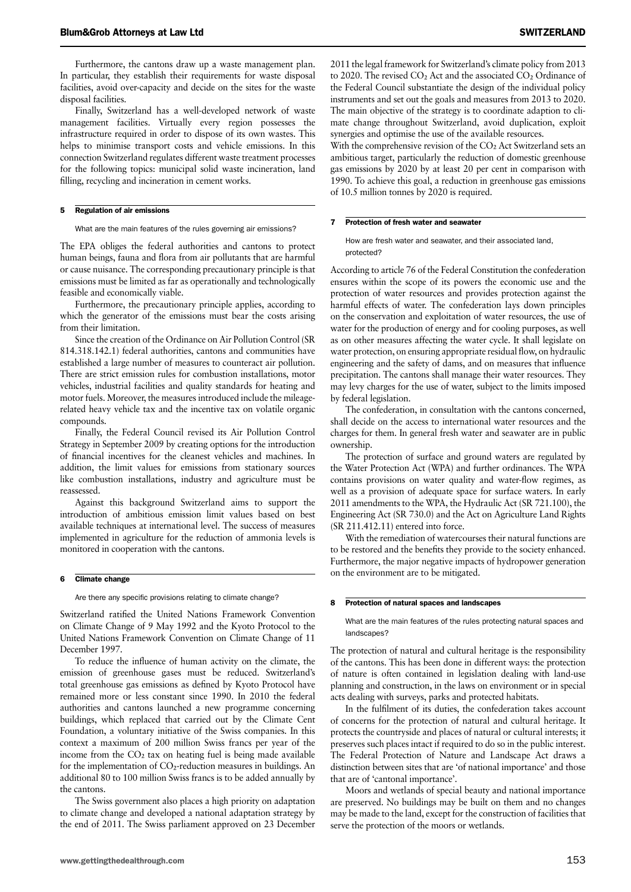Furthermore, the cantons draw up a waste management plan. In particular, they establish their requirements for waste disposal facilities, avoid over-capacity and decide on the sites for the waste disposal facilities.

Finally, Switzerland has a well-developed network of waste management facilities. Virtually every region possesses the infrastructure required in order to dispose of its own wastes. This helps to minimise transport costs and vehicle emissions. In this connection Switzerland regulates different waste treatment processes for the following topics: municipal solid waste incineration, land filling, recycling and incineration in cement works.

#### 5 Regulation of air emissions

What are the main features of the rules governing air emissions?

The EPA obliges the federal authorities and cantons to protect human beings, fauna and flora from air pollutants that are harmful or cause nuisance. The corresponding precautionary principle is that emissions must be limited as far as operationally and technologically feasible and economically viable.

Furthermore, the precautionary principle applies, according to which the generator of the emissions must bear the costs arising from their limitation.

Since the creation of the Ordinance on Air Pollution Control (SR 814.318.142.1) federal authorities, cantons and communities have established a large number of measures to counteract air pollution. There are strict emission rules for combustion installations, motor vehicles, industrial facilities and quality standards for heating and motor fuels. Moreover, the measures introduced include the mileagerelated heavy vehicle tax and the incentive tax on volatile organic compounds.

Finally, the Federal Council revised its Air Pollution Control Strategy in September 2009 by creating options for the introduction of financial incentives for the cleanest vehicles and machines. In addition, the limit values for emissions from stationary sources like combustion installations, industry and agriculture must be reassessed.

Against this background Switzerland aims to support the introduction of ambitious emission limit values based on best available techniques at international level. The success of measures implemented in agriculture for the reduction of ammonia levels is monitored in cooperation with the cantons.

#### 6 Climate change

Are there any specific provisions relating to climate change?

Switzerland ratified the United Nations Framework Convention on Climate Change of 9 May 1992 and the Kyoto Protocol to the United Nations Framework Convention on Climate Change of 11 December 1997.

To reduce the influence of human activity on the climate, the emission of greenhouse gases must be reduced. Switzerland's total greenhouse gas emissions as defined by Kyoto Protocol have remained more or less constant since 1990. In 2010 the federal authorities and cantons launched a new programme concerning buildings, which replaced that carried out by the Climate Cent Foundation, a voluntary initiative of the Swiss companies. In this context a maximum of 200 million Swiss francs per year of the income from the  $CO<sub>2</sub>$  tax on heating fuel is being made available for the implementation of CO<sub>2</sub>-reduction measures in buildings. An additional 80 to 100 million Swiss francs is to be added annually by the cantons.

The Swiss government also places a high priority on adaptation to climate change and developed a national adaptation strategy by the end of 2011. The Swiss parliament approved on 23 December With the comprehensive revision of the CO<sub>2</sub> Act Switzerland sets an ambitious target, particularly the reduction of domestic greenhouse gas emissions by 2020 by at least 20 per cent in comparison with 1990. To achieve this goal, a reduction in greenhouse gas emissions of 10.5 million tonnes by 2020 is required.

#### 7 Protection of fresh water and seawater

How are fresh water and seawater, and their associated land, protected?

According to article 76 of the Federal Constitution the confederation ensures within the scope of its powers the economic use and the protection of water resources and provides protection against the harmful effects of water. The confederation lays down principles on the conservation and exploitation of water resources, the use of water for the production of energy and for cooling purposes, as well as on other measures affecting the water cycle. It shall legislate on water protection, on ensuring appropriate residual flow, on hydraulic engineering and the safety of dams, and on measures that influence precipitation. The cantons shall manage their water resources. They may levy charges for the use of water, subject to the limits imposed by federal legislation.

The confederation, in consultation with the cantons concerned, shall decide on the access to international water resources and the charges for them. In general fresh water and seawater are in public ownership.

The protection of surface and ground waters are regulated by the Water Protection Act (WPA) and further ordinances. The WPA contains provisions on water quality and water-flow regimes, as well as a provision of adequate space for surface waters. In early 2011 amendments to the WPA, the Hydraulic Act (SR 721.100), the Engineering Act (SR 730.0) and the Act on Agriculture Land Rights (SR 211.412.11) entered into force.

With the remediation of watercourses their natural functions are to be restored and the benefits they provide to the society enhanced. Furthermore, the major negative impacts of hydropower generation on the environment are to be mitigated.

#### 8 Protection of natural spaces and landscapes

What are the main features of the rules protecting natural spaces and landscapes?

The protection of natural and cultural heritage is the responsibility of the cantons. This has been done in different ways: the protection of nature is often contained in legislation dealing with land-use planning and construction, in the laws on environment or in special acts dealing with surveys, parks and protected habitats.

In the fulfilment of its duties, the confederation takes account of concerns for the protection of natural and cultural heritage. It protects the countryside and places of natural or cultural interests; it preserves such places intact if required to do so in the public interest. The Federal Protection of Nature and Landscape Act draws a distinction between sites that are 'of national importance' and those that are of 'cantonal importance'.

Moors and wetlands of special beauty and national importance are preserved. No buildings may be built on them and no changes may be made to the land, except for the construction of facilities that serve the protection of the moors or wetlands.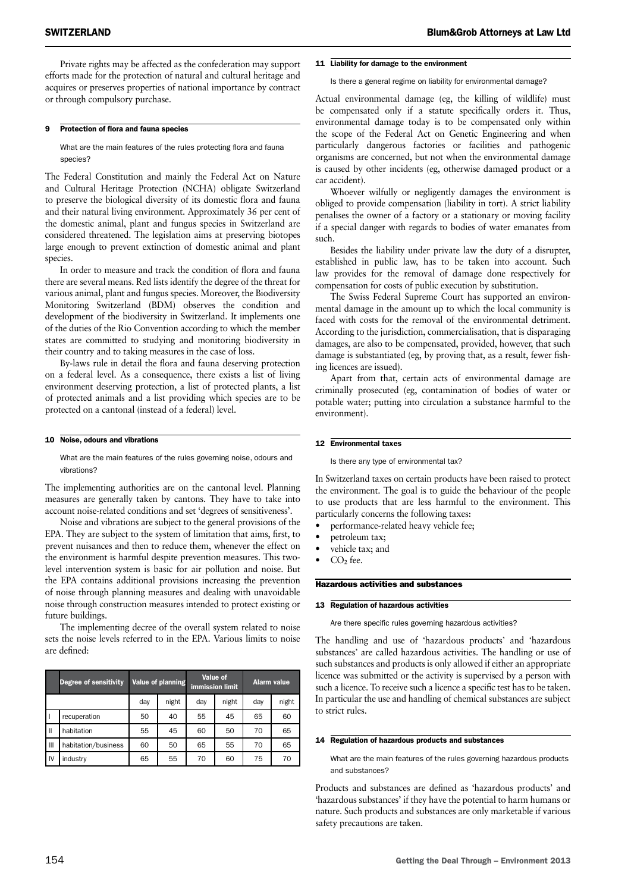Private rights may be affected as the confederation may support efforts made for the protection of natural and cultural heritage and acquires or preserves properties of national importance by contract or through compulsory purchase.

#### 9 Protection of flora and fauna species

What are the main features of the rules protecting flora and fauna species?

The Federal Constitution and mainly the Federal Act on Nature and Cultural Heritage Protection (NCHA) obligate Switzerland to preserve the biological diversity of its domestic flora and fauna and their natural living environment. Approximately 36 per cent of the domestic animal, plant and fungus species in Switzerland are considered threatened. The legislation aims at preserving biotopes large enough to prevent extinction of domestic animal and plant species.

In order to measure and track the condition of flora and fauna there are several means. Red lists identify the degree of the threat for various animal, plant and fungus species. Moreover, the Biodiversity Monitoring Switzerland (BDM) observes the condition and development of the biodiversity in Switzerland. It implements one of the duties of the Rio Convention according to which the member states are committed to studying and monitoring biodiversity in their country and to taking measures in the case of loss.

By-laws rule in detail the flora and fauna deserving protection on a federal level. As a consequence, there exists a list of living environment deserving protection, a list of protected plants, a list of protected animals and a list providing which species are to be protected on a cantonal (instead of a federal) level.

#### 10 Noise, odours and vibrations

What are the main features of the rules governing noise, odours and vibrations?

The implementing authorities are on the cantonal level. Planning measures are generally taken by cantons. They have to take into account noise-related conditions and set 'degrees of sensitiveness'.

Noise and vibrations are subject to the general provisions of the EPA. They are subject to the system of limitation that aims, first, to prevent nuisances and then to reduce them, whenever the effect on the environment is harmful despite prevention measures. This twolevel intervention system is basic for air pollution and noise. But the EPA contains additional provisions increasing the prevention of noise through planning measures and dealing with unavoidable noise through construction measures intended to protect existing or future buildings.

The implementing decree of the overall system related to noise sets the noise levels referred to in the EPA. Various limits to noise are defined:

|              | Degree of sensitivity | Value of planning |       | Value of<br><b>immission limit</b> |       | <b>Alarm value</b> |       |
|--------------|-----------------------|-------------------|-------|------------------------------------|-------|--------------------|-------|
|              |                       | day               | night | day                                | night | day                | night |
|              | recuperation          | 50                | 40    | 55                                 | 45    | 65                 | 60    |
| $\mathbf{I}$ | habitation            | 55                | 45    | 60                                 | 50    | 70                 | 65    |
| Ш            | habitation/business   | 60                | 50    | 65                                 | 55    | 70                 | 65    |
| IV           | industry              | 65                | 55    | 70                                 | 60    | 75                 | 70    |

#### 11 Liability for damage to the environment

Is there a general regime on liability for environmental damage?

Actual environmental damage (eg, the killing of wildlife) must be compensated only if a statute specifically orders it. Thus, environmental damage today is to be compensated only within the scope of the Federal Act on Genetic Engineering and when particularly dangerous factories or facilities and pathogenic organisms are concerned, but not when the environmental damage is caused by other incidents (eg, otherwise damaged product or a car accident).

Whoever wilfully or negligently damages the environment is obliged to provide compensation (liability in tort). A strict liability penalises the owner of a factory or a stationary or moving facility if a special danger with regards to bodies of water emanates from such.

Besides the liability under private law the duty of a disrupter, established in public law, has to be taken into account. Such law provides for the removal of damage done respectively for compensation for costs of public execution by substitution.

The Swiss Federal Supreme Court has supported an environmental damage in the amount up to which the local community is faced with costs for the removal of the environmental detriment. According to the jurisdiction, commercialisation, that is disparaging damages, are also to be compensated, provided, however, that such damage is substantiated (eg, by proving that, as a result, fewer fishing licences are issued).

Apart from that, certain acts of environmental damage are criminally prosecuted (eg, contamination of bodies of water or potable water; putting into circulation a substance harmful to the environment).

#### 12 Environmental taxes

Is there any type of environmental tax?

In Switzerland taxes on certain products have been raised to protect the environment. The goal is to guide the behaviour of the people to use products that are less harmful to the environment. This particularly concerns the following taxes:

- performance-related heavy vehicle fee;
- petroleum tax;
- vehicle tax; and
- $CO<sub>2</sub>$  fee.

#### Hazardous activities and substances

#### 13 Regulation of hazardous activities

Are there specific rules governing hazardous activities?

The handling and use of 'hazardous products' and 'hazardous substances' are called hazardous activities. The handling or use of such substances and products is only allowed if either an appropriate licence was submitted or the activity is supervised by a person with such a licence. To receive such a licence a specific test has to be taken. In particular the use and handling of chemical substances are subject to strict rules.

#### 14 Regulation of hazardous products and substances

What are the main features of the rules governing hazardous products and substances?

Products and substances are defined as 'hazardous products' and 'hazardous substances' if they have the potential to harm humans or nature. Such products and substances are only marketable if various safety precautions are taken.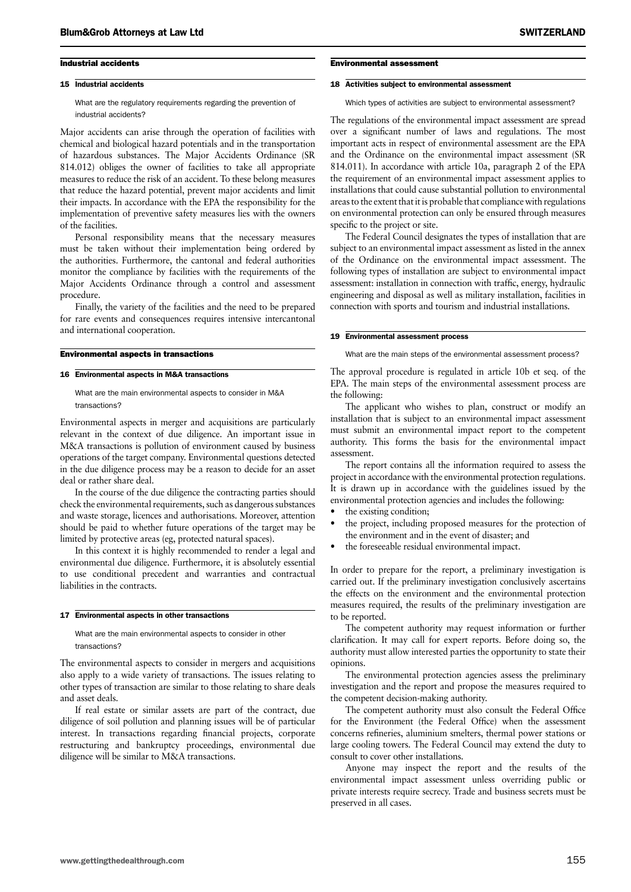#### Industrial accidents

#### 15 Industrial accidents

What are the regulatory requirements regarding the prevention of industrial accidents?

Major accidents can arise through the operation of facilities with chemical and biological hazard potentials and in the transportation of hazardous substances. The Major Accidents Ordinance (SR 814.012) obliges the owner of facilities to take all appropriate measures to reduce the risk of an accident. To these belong measures that reduce the hazard potential, prevent major accidents and limit their impacts. In accordance with the EPA the responsibility for the implementation of preventive safety measures lies with the owners of the facilities.

Personal responsibility means that the necessary measures must be taken without their implementation being ordered by the authorities. Furthermore, the cantonal and federal authorities monitor the compliance by facilities with the requirements of the Major Accidents Ordinance through a control and assessment procedure.

Finally, the variety of the facilities and the need to be prepared for rare events and consequences requires intensive intercantonal and international cooperation.

#### Environmental aspects in transactions

#### 16 Environmental aspects in M&A transactions

What are the main environmental aspects to consider in M&A transactions?

Environmental aspects in merger and acquisitions are particularly relevant in the context of due diligence. An important issue in M&A transactions is pollution of environment caused by business operations of the target company. Environmental questions detected in the due diligence process may be a reason to decide for an asset deal or rather share deal.

In the course of the due diligence the contracting parties should check the environmental requirements, such as dangerous substances and waste storage, licences and authorisations. Moreover, attention should be paid to whether future operations of the target may be limited by protective areas (eg, protected natural spaces).

In this context it is highly recommended to render a legal and environmental due diligence. Furthermore, it is absolutely essential to use conditional precedent and warranties and contractual liabilities in the contracts.

#### 17 Environmental aspects in other transactions

#### What are the main environmental aspects to consider in other transactions?

The environmental aspects to consider in mergers and acquisitions also apply to a wide variety of transactions. The issues relating to other types of transaction are similar to those relating to share deals and asset deals.

If real estate or similar assets are part of the contract, due diligence of soil pollution and planning issues will be of particular interest. In transactions regarding financial projects, corporate restructuring and bankruptcy proceedings, environmental due diligence will be similar to M&A transactions.

#### Environmental assessment

#### 18 Activities subject to environmental assessment

Which types of activities are subject to environmental assessment?

The regulations of the environmental impact assessment are spread over a significant number of laws and regulations. The most important acts in respect of environmental assessment are the EPA and the Ordinance on the environmental impact assessment (SR 814.011). In accordance with article 10a, paragraph 2 of the EPA the requirement of an environmental impact assessment applies to installations that could cause substantial pollution to environmental areas to the extent that it is probable that compliance with regulations on environmental protection can only be ensured through measures specific to the project or site.

The Federal Council designates the types of installation that are subject to an environmental impact assessment as listed in the annex of the Ordinance on the environmental impact assessment. The following types of installation are subject to environmental impact assessment: installation in connection with traffic, energy, hydraulic engineering and disposal as well as military installation, facilities in connection with sports and tourism and industrial installations.

#### 19 Environmental assessment process

What are the main steps of the environmental assessment process?

The approval procedure is regulated in article 10b et seq. of the EPA. The main steps of the environmental assessment process are the following:

The applicant who wishes to plan, construct or modify an installation that is subject to an environmental impact assessment must submit an environmental impact report to the competent authority. This forms the basis for the environmental impact assessment.

The report contains all the information required to assess the project in accordance with the environmental protection regulations. It is drawn up in accordance with the guidelines issued by the environmental protection agencies and includes the following:

- the existing condition;
- the project, including proposed measures for the protection of the environment and in the event of disaster; and
- the foreseeable residual environmental impact.

In order to prepare for the report, a preliminary investigation is carried out. If the preliminary investigation conclusively ascertains the effects on the environment and the environmental protection measures required, the results of the preliminary investigation are to be reported.

The competent authority may request information or further clarification. It may call for expert reports. Before doing so, the authority must allow interested parties the opportunity to state their opinions.

The environmental protection agencies assess the preliminary investigation and the report and propose the measures required to the competent decision-making authority.

The competent authority must also consult the Federal Office for the Environment (the Federal Office) when the assessment concerns refineries, aluminium smelters, thermal power stations or large cooling towers. The Federal Council may extend the duty to consult to cover other installations.

Anyone may inspect the report and the results of the environmental impact assessment unless overriding public or private interests require secrecy. Trade and business secrets must be preserved in all cases.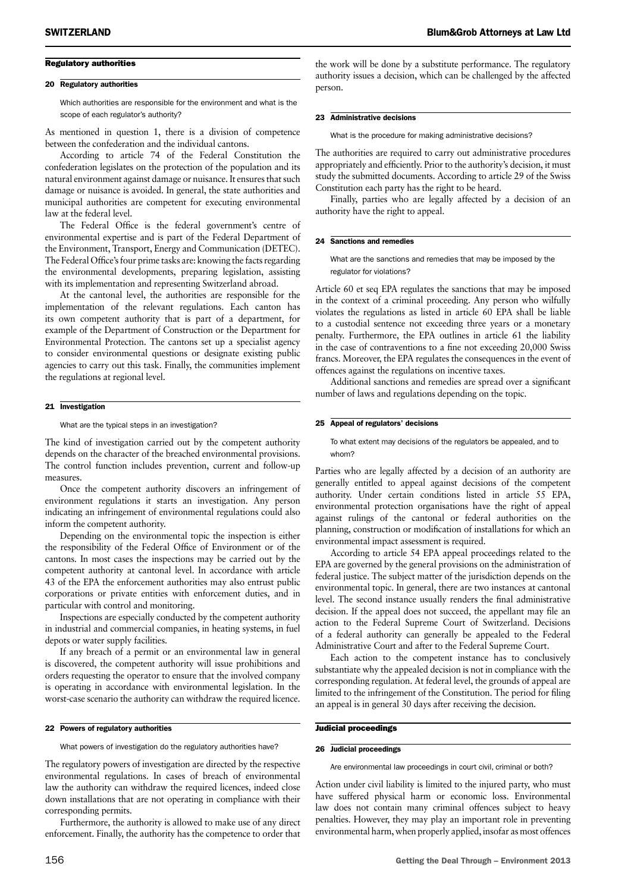#### Regulatory authorities

#### 20 Regulatory authorities

Which authorities are responsible for the environment and what is the scope of each regulator's authority?

As mentioned in question 1, there is a division of competence between the confederation and the individual cantons.

According to article 74 of the Federal Constitution the confederation legislates on the protection of the population and its natural environment against damage or nuisance. It ensures that such damage or nuisance is avoided. In general, the state authorities and municipal authorities are competent for executing environmental law at the federal level.

The Federal Office is the federal government's centre of environmental expertise and is part of the Federal Department of the Environment, Transport, Energy and Communication (DETEC). The Federal Office's four prime tasks are: knowing the facts regarding the environmental developments, preparing legislation, assisting with its implementation and representing Switzerland abroad.

At the cantonal level, the authorities are responsible for the implementation of the relevant regulations. Each canton has its own competent authority that is part of a department, for example of the Department of Construction or the Department for Environmental Protection. The cantons set up a specialist agency to consider environmental questions or designate existing public agencies to carry out this task. Finally, the communities implement the regulations at regional level.

#### 21 Investigation

What are the typical steps in an investigation?

The kind of investigation carried out by the competent authority depends on the character of the breached environmental provisions. The control function includes prevention, current and follow-up measures.

Once the competent authority discovers an infringement of environment regulations it starts an investigation. Any person indicating an infringement of environmental regulations could also inform the competent authority.

Depending on the environmental topic the inspection is either the responsibility of the Federal Office of Environment or of the cantons. In most cases the inspections may be carried out by the competent authority at cantonal level. In accordance with article 43 of the EPA the enforcement authorities may also entrust public corporations or private entities with enforcement duties, and in particular with control and monitoring.

Inspections are especially conducted by the competent authority in industrial and commercial companies, in heating systems, in fuel depots or water supply facilities.

If any breach of a permit or an environmental law in general is discovered, the competent authority will issue prohibitions and orders requesting the operator to ensure that the involved company is operating in accordance with environmental legislation. In the worst-case scenario the authority can withdraw the required licence.

#### 22 Powers of regulatory authorities

What powers of investigation do the regulatory authorities have?

The regulatory powers of investigation are directed by the respective environmental regulations. In cases of breach of environmental law the authority can withdraw the required licences, indeed close down installations that are not operating in compliance with their corresponding permits.

Furthermore, the authority is allowed to make use of any direct enforcement. Finally, the authority has the competence to order that the work will be done by a substitute performance. The regulatory authority issues a decision, which can be challenged by the affected person.

#### 23 Administrative decisions

What is the procedure for making administrative decisions?

The authorities are required to carry out administrative procedures appropriately and efficiently. Prior to the authority's decision, it must study the submitted documents. According to article 29 of the Swiss Constitution each party has the right to be heard.

Finally, parties who are legally affected by a decision of an authority have the right to appeal.

#### 24 Sanctions and remedies

What are the sanctions and remedies that may be imposed by the regulator for violations?

Article 60 et seq EPA regulates the sanctions that may be imposed in the context of a criminal proceeding. Any person who wilfully violates the regulations as listed in article 60 EPA shall be liable to a custodial sentence not exceeding three years or a monetary penalty. Furthermore, the EPA outlines in article 61 the liability in the case of contraventions to a fine not exceeding 20,000 Swiss francs. Moreover, the EPA regulates the consequences in the event of offences against the regulations on incentive taxes.

Additional sanctions and remedies are spread over a significant number of laws and regulations depending on the topic.

#### 25 Appeal of regulators' decisions

To what extent may decisions of the regulators be appealed, and to whom?

Parties who are legally affected by a decision of an authority are generally entitled to appeal against decisions of the competent authority. Under certain conditions listed in article 55 EPA, environmental protection organisations have the right of appeal against rulings of the cantonal or federal authorities on the planning, construction or modification of installations for which an environmental impact assessment is required.

According to article 54 EPA appeal proceedings related to the EPA are governed by the general provisions on the administration of federal justice. The subject matter of the jurisdiction depends on the environmental topic. In general, there are two instances at cantonal level. The second instance usually renders the final administrative decision. If the appeal does not succeed, the appellant may file an action to the Federal Supreme Court of Switzerland. Decisions of a federal authority can generally be appealed to the Federal Administrative Court and after to the Federal Supreme Court.

Each action to the competent instance has to conclusively substantiate why the appealed decision is not in compliance with the corresponding regulation. At federal level, the grounds of appeal are limited to the infringement of the Constitution. The period for filing an appeal is in general 30 days after receiving the decision.

#### Judicial proceedings

#### 26 Judicial proceedings

Are environmental law proceedings in court civil, criminal or both?

Action under civil liability is limited to the injured party, who must have suffered physical harm or economic loss. Environmental law does not contain many criminal offences subject to heavy penalties. However, they may play an important role in preventing environmental harm, when properly applied, insofar as most offences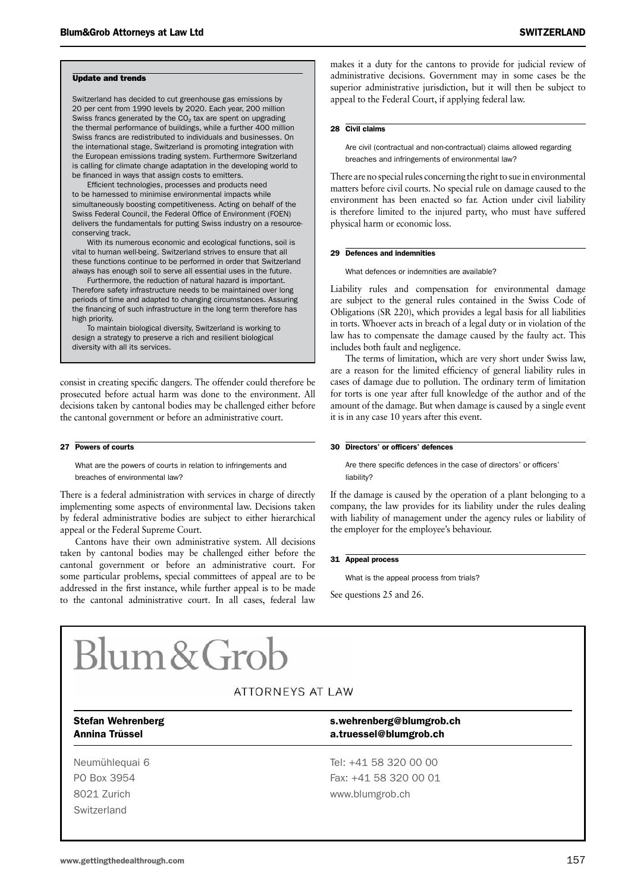#### Update and trends

Switzerland has decided to cut greenhouse gas emissions by 20 per cent from 1990 levels by 2020. Each year, 200 million Swiss francs generated by the  $CO<sub>2</sub>$  tax are spent on upgrading the thermal performance of buildings, while a further 400 million Swiss francs are redistributed to individuals and businesses. On the international stage, Switzerland is promoting integration with the European emissions trading system. Furthermore Switzerland is calling for climate change adaptation in the developing world to be financed in ways that assign costs to emitters.

Efficient technologies, processes and products need to be harnessed to minimise environmental impacts while simultaneously boosting competitiveness. Acting on behalf of the Swiss Federal Council, the Federal Office of Environment (FOEN) delivers the fundamentals for putting Swiss industry on a resourceconserving track.

With its numerous economic and ecological functions, soil is vital to human well-being. Switzerland strives to ensure that all these functions continue to be performed in order that Switzerland always has enough soil to serve all essential uses in the future.

Furthermore, the reduction of natural hazard is important. Therefore safety infrastructure needs to be maintained over long periods of time and adapted to changing circumstances. Assuring the financing of such infrastructure in the long term therefore has high priority.

To maintain biological diversity, Switzerland is working to design a strategy to preserve a rich and resilient biological diversity with all its services.

consist in creating specific dangers. The offender could therefore be prosecuted before actual harm was done to the environment. All decisions taken by cantonal bodies may be challenged either before the cantonal government or before an administrative court.

#### 27 Powers of courts

What are the powers of courts in relation to infringements and breaches of environmental law?

There is a federal administration with services in charge of directly implementing some aspects of environmental law. Decisions taken by federal administrative bodies are subject to either hierarchical appeal or the Federal Supreme Court.

Cantons have their own administrative system. All decisions taken by cantonal bodies may be challenged either before the cantonal government or before an administrative court. For some particular problems, special committees of appeal are to be addressed in the first instance, while further appeal is to be made to the cantonal administrative court. In all cases, federal law

makes it a duty for the cantons to provide for judicial review of administrative decisions. Government may in some cases be the superior administrative jurisdiction, but it will then be subject to appeal to the Federal Court, if applying federal law.

#### 28 Civil claims

Are civil (contractual and non-contractual) claims allowed regarding breaches and infringements of environmental law?

There are no special rules concerning the right to sue in environmental matters before civil courts. No special rule on damage caused to the environment has been enacted so far. Action under civil liability is therefore limited to the injured party, who must have suffered physical harm or economic loss.

#### 29 Defences and indemnities

What defences or indemnities are available?

Liability rules and compensation for environmental damage are subject to the general rules contained in the Swiss Code of Obligations (SR 220), which provides a legal basis for all liabilities in torts. Whoever acts in breach of a legal duty or in violation of the law has to compensate the damage caused by the faulty act. This includes both fault and negligence.

The terms of limitation, which are very short under Swiss law, are a reason for the limited efficiency of general liability rules in cases of damage due to pollution. The ordinary term of limitation for torts is one year after full knowledge of the author and of the amount of the damage. But when damage is caused by a single event it is in any case 10 years after this event.

#### 30 Directors' or officers' defences

Are there specific defences in the case of directors' or officers' liability?

If the damage is caused by the operation of a plant belonging to a company, the law provides for its liability under the rules dealing with liability of management under the agency rules or liability of the employer for the employee's behaviour.

#### 31 Appeal process

What is the appeal process from trials?

See questions 25 and 26.

# $Blum\&Gro$

### ATTORNEYS AT LAW

**Switzerland** 

#### Stefan Wehrenberg stefan Wehrenberg s.wehrenberg@blumgrob.ch Annina Trüssel a.truessel@blumgrob.ch

Neumühlequai 6 Tel: +41 58 320 00 00 PO Box 3954 Fax: +41 58 320 00 01 8021 Zurich www.blumgrob.ch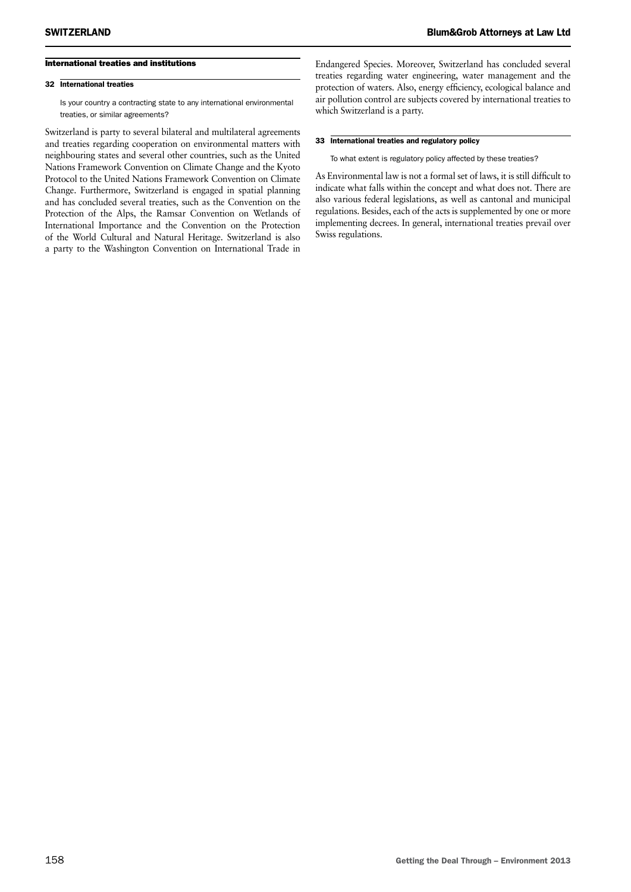#### International treaties and institutions

#### 32 International treaties

Is your country a contracting state to any international environmental treaties, or similar agreements?

Switzerland is party to several bilateral and multilateral agreements and treaties regarding cooperation on environmental matters with neighbouring states and several other countries, such as the United Nations Framework Convention on Climate Change and the Kyoto Protocol to the United Nations Framework Convention on Climate Change. Furthermore, Switzerland is engaged in spatial planning and has concluded several treaties, such as the Convention on the Protection of the Alps, the Ramsar Convention on Wetlands of International Importance and the Convention on the Protection of the World Cultural and Natural Heritage. Switzerland is also a party to the Washington Convention on International Trade in

Endangered Species. Moreover, Switzerland has concluded several treaties regarding water engineering, water management and the protection of waters. Also, energy efficiency, ecological balance and air pollution control are subjects covered by international treaties to which Switzerland is a party.

#### 33 International treaties and regulatory policy

To what extent is regulatory policy affected by these treaties?

As Environmental law is not a formal set of laws, it is still difficult to indicate what falls within the concept and what does not. There are also various federal legislations, as well as cantonal and municipal regulations. Besides, each of the acts is supplemented by one or more implementing decrees. In general, international treaties prevail over Swiss regulations.